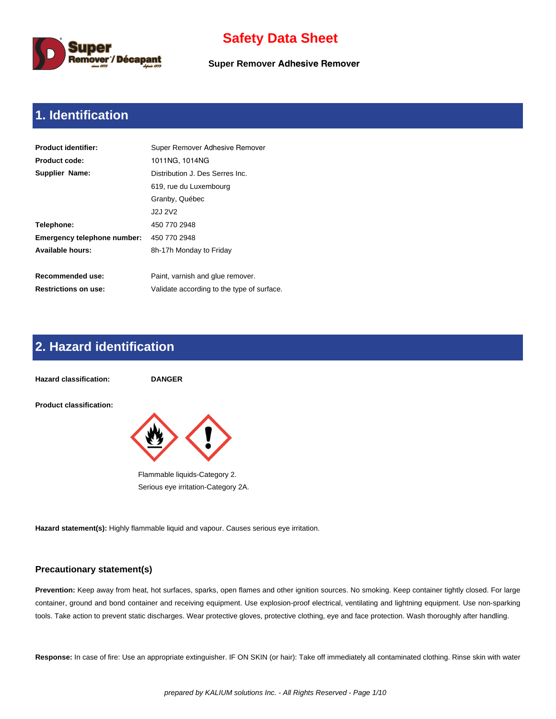

**Super Remover Adhesive Remover**

# **1. Identification**

| <b>Product identifier:</b>  | Super Remover Adhesive Remover             |  |  |  |  |
|-----------------------------|--------------------------------------------|--|--|--|--|
| <b>Product code:</b>        | 1011NG, 1014NG                             |  |  |  |  |
| Supplier Name:              | Distribution J. Des Serres Inc.            |  |  |  |  |
|                             | 619, rue du Luxembourg                     |  |  |  |  |
|                             | Granby, Québec                             |  |  |  |  |
|                             | J2J 2V2                                    |  |  |  |  |
| Telephone:                  | 450 770 2948                               |  |  |  |  |
| Emergency telephone number: | 450 770 2948                               |  |  |  |  |
| <b>Available hours:</b>     | 8h-17h Monday to Friday                    |  |  |  |  |
|                             |                                            |  |  |  |  |
| Recommended use:            | Paint, varnish and glue remover.           |  |  |  |  |
| <b>Restrictions on use:</b> | Validate according to the type of surface. |  |  |  |  |

# **2. Hazard identification**



**Hazard statement(s):** Highly flammable liquid and vapour. Causes serious eye irritation.

#### **Precautionary statement(s)**

**Prevention:** Keep away from heat, hot surfaces, sparks, open flames and other ignition sources. No smoking. Keep container tightly closed. For large container, ground and bond container and receiving equipment. Use explosion-proof electrical, ventilating and lightning equipment. Use non-sparking tools. Take action to prevent static discharges. Wear protective gloves, protective clothing, eye and face protection. Wash thoroughly after handling.

**Response:** In case of fire: Use an appropriate extinguisher. IF ON SKIN (or hair): Take off immediately all contaminated clothing. Rinse skin with water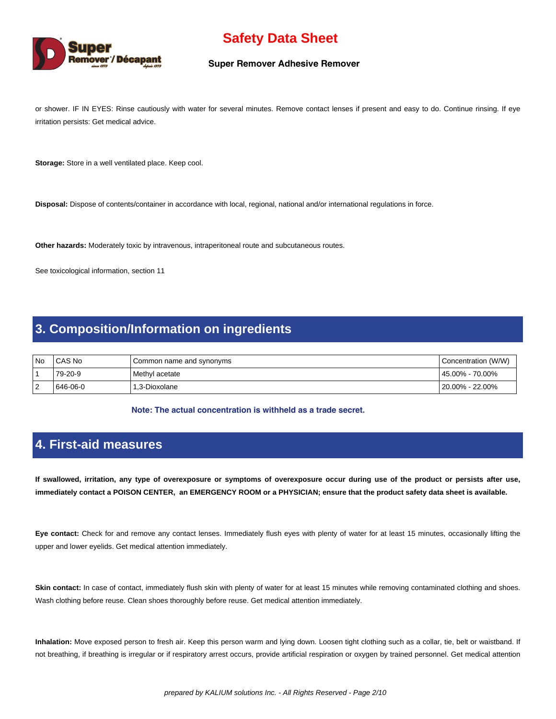

#### **Super Remover Adhesive Remover**

or shower. IF IN EYES: Rinse cautiously with water for several minutes. Remove contact lenses if present and easy to do. Continue rinsing. If eye irritation persists: Get medical advice.

**Storage:** Store in a well ventilated place. Keep cool.

**Disposal:** Dispose of contents/container in accordance with local, regional, national and/or international regulations in force.

**Other hazards:** Moderately toxic by intravenous, intraperitoneal route and subcutaneous routes.

See toxicological information, section 11

### **3. Composition/Information on ingredients**

| l No     | CAS No   | Common name and synonyms | Concentration (W/W) |
|----------|----------|--------------------------|---------------------|
|          | 79-20-9  | Methyl acetate           | l 45.00% - 70.00%   |
| - 2<br>∼ | 646-06-0 | 1.3-Dioxolane            | l 20.00% - 22.00%   |

**Note: The actual concentration is withheld as a trade secret.** 

### **4. First-aid measures**

**If swallowed, irritation, any type of overexposure or symptoms of overexposure occur during use of the product or persists after use, immediately contact a POISON CENTER, an EMERGENCY ROOM or a PHYSICIAN; ensure that the product safety data sheet is available.**

**Eye contact:** Check for and remove any contact lenses. Immediately flush eyes with plenty of water for at least 15 minutes, occasionally lifting the upper and lower eyelids. Get medical attention immediately.

Skin contact: In case of contact, immediately flush skin with plenty of water for at least 15 minutes while removing contaminated clothing and shoes. Wash clothing before reuse. Clean shoes thoroughly before reuse. Get medical attention immediately.

**Inhalation:** Move exposed person to fresh air. Keep this person warm and lying down. Loosen tight clothing such as a collar, tie, belt or waistband. If not breathing, if breathing is irregular or if respiratory arrest occurs, provide artificial respiration or oxygen by trained personnel. Get medical attention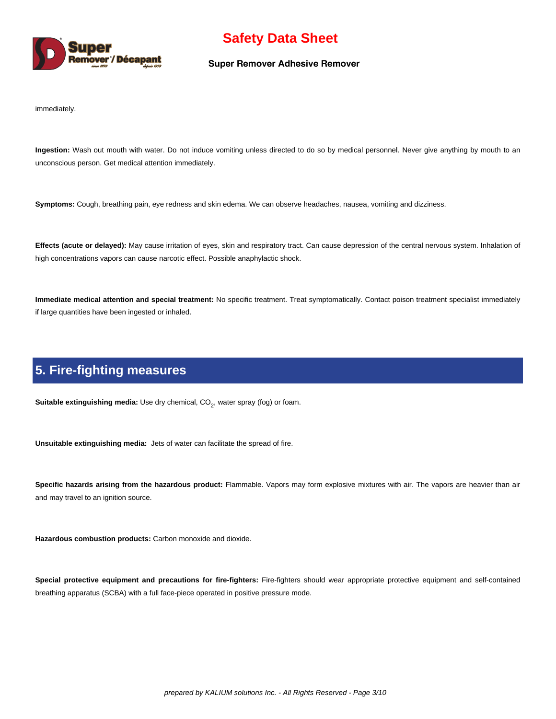

#### **Super Remover Adhesive Remover**

immediately.

**Ingestion:** Wash out mouth with water. Do not induce vomiting unless directed to do so by medical personnel. Never give anything by mouth to an unconscious person. Get medical attention immediately.

**Symptoms:** Cough, breathing pain, eye redness and skin edema. We can observe headaches, nausea, vomiting and dizziness.

**Effects (acute or delayed):** May cause irritation of eyes, skin and respiratory tract. Can cause depression of the central nervous system. Inhalation of high concentrations vapors can cause narcotic effect. Possible anaphylactic shock.

**Immediate medical attention and special treatment:** No specific treatment. Treat symptomatically. Contact poison treatment specialist immediately if large quantities have been ingested or inhaled.

### **5. Fire-fighting measures**

**Suitable extinguishing media:** Use dry chemical, CO<sub>2</sub>, water spray (fog) or foam.

**Unsuitable extinguishing media:** Jets of water can facilitate the spread of fire.

**Specific hazards arising from the hazardous product:** Flammable. Vapors may form explosive mixtures with air. The vapors are heavier than air and may travel to an ignition source.

**Hazardous combustion products:** Carbon monoxide and dioxide.

**Special protective equipment and precautions for fire-fighters:** Fire-fighters should wear appropriate protective equipment and self-contained breathing apparatus (SCBA) with a full face-piece operated in positive pressure mode.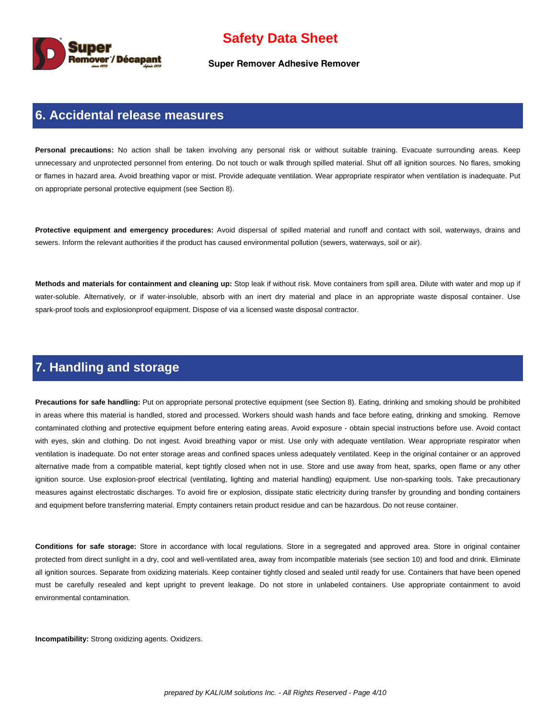

**Super Remover Adhesive Remover**

#### **6. Accidental release measures**

Personal precautions: No action shall be taken involving any personal risk or without suitable training. Evacuate surrounding areas. Keep unnecessary and unprotected personnel from entering. Do not touch or walk through spilled material. Shut off all ignition sources. No flares, smoking or flames in hazard area. Avoid breathing vapor or mist. Provide adequate ventilation. Wear appropriate respirator when ventilation is inadequate. Put on appropriate personal protective equipment (see Section 8).

**Protective equipment and emergency procedures:** Avoid dispersal of spilled material and runoff and contact with soil, waterways, drains and sewers. Inform the relevant authorities if the product has caused environmental pollution (sewers, waterways, soil or air).

**Methods and materials for containment and cleaning up:** Stop leak if without risk. Move containers from spill area. Dilute with water and mop up if water-soluble. Alternatively, or if water-insoluble, absorb with an inert dry material and place in an appropriate waste disposal container. Use spark-proof tools and explosionproof equipment. Dispose of via a licensed waste disposal contractor.

### **7. Handling and storage**

**Precautions for safe handling:** Put on appropriate personal protective equipment (see Section 8). Eating, drinking and smoking should be prohibited in areas where this material is handled, stored and processed. Workers should wash hands and face before eating, drinking and smoking. Remove contaminated clothing and protective equipment before entering eating areas. Avoid exposure - obtain special instructions before use. Avoid contact with eyes, skin and clothing. Do not ingest. Avoid breathing vapor or mist. Use only with adequate ventilation. Wear appropriate respirator when ventilation is inadequate. Do not enter storage areas and confined spaces unless adequately ventilated. Keep in the original container or an approved alternative made from a compatible material, kept tightly closed when not in use. Store and use away from heat, sparks, open flame or any other ignition source. Use explosion-proof electrical (ventilating, lighting and material handling) equipment. Use non-sparking tools. Take precautionary measures against electrostatic discharges. To avoid fire or explosion, dissipate static electricity during transfer by grounding and bonding containers and equipment before transferring material. Empty containers retain product residue and can be hazardous. Do not reuse container.

**Conditions for safe storage:** Store in accordance with local regulations. Store in a segregated and approved area. Store in original container protected from direct sunlight in a dry, cool and well-ventilated area, away from incompatible materials (see section 10) and food and drink. Eliminate all ignition sources. Separate from oxidizing materials. Keep container tightly closed and sealed until ready for use. Containers that have been opened must be carefully resealed and kept upright to prevent leakage. Do not store in unlabeled containers. Use appropriate containment to avoid environmental contamination.

**Incompatibility:** Strong oxidizing agents. Oxidizers.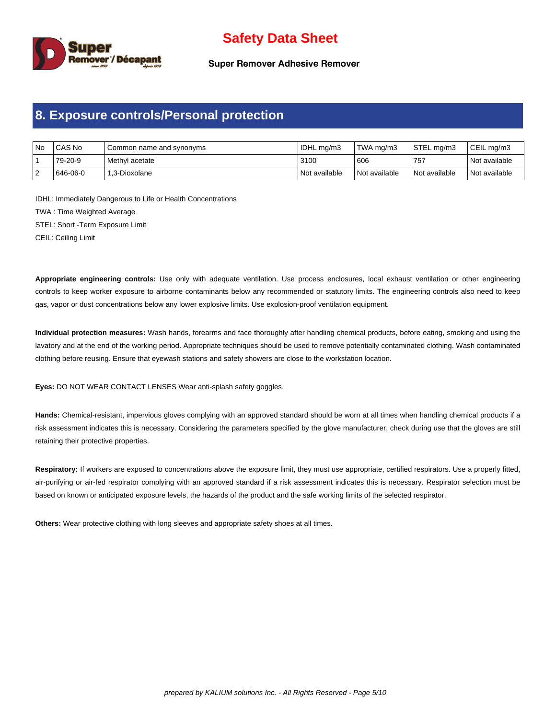

**Super Remover Adhesive Remover**

### **8. Exposure controls/Personal protection**

| No | l CAS No | I Common name and synonyms | IDHL mg/m3    | TWA ma/m3       | STEL ma/m3    | CEIL ma/m3      |
|----|----------|----------------------------|---------------|-----------------|---------------|-----------------|
|    | 79-20-9  | l Methvl acetate           | 3100          | 606             | 757           | l Not available |
| ▵  | 646-06-0 | l 1.3-Dioxolane            | Not available | l Not available | Not available | l Not available |

IDHL: Immediately Dangerous to Life or Health Concentrations TWA : Time Weighted Average STEL: Short -Term Exposure Limit

CEIL: Ceiling Limit

**Appropriate engineering controls:** Use only with adequate ventilation. Use process enclosures, local exhaust ventilation or other engineering controls to keep worker exposure to airborne contaminants below any recommended or statutory limits. The engineering controls also need to keep gas, vapor or dust concentrations below any lower explosive limits. Use explosion-proof ventilation equipment.

**Individual protection measures:** Wash hands, forearms and face thoroughly after handling chemical products, before eating, smoking and using the lavatory and at the end of the working period. Appropriate techniques should be used to remove potentially contaminated clothing. Wash contaminated clothing before reusing. Ensure that eyewash stations and safety showers are close to the workstation location.

**Eyes:** DO NOT WEAR CONTACT LENSES Wear anti-splash safety goggles.

**Hands:** Chemical-resistant, impervious gloves complying with an approved standard should be worn at all times when handling chemical products if a risk assessment indicates this is necessary. Considering the parameters specified by the glove manufacturer, check during use that the gloves are still retaining their protective properties.

Respiratory: If workers are exposed to concentrations above the exposure limit, they must use appropriate, certified respirators. Use a properly fitted, air-purifying or air-fed respirator complying with an approved standard if a risk assessment indicates this is necessary. Respirator selection must be based on known or anticipated exposure levels, the hazards of the product and the safe working limits of the selected respirator.

**Others:** Wear protective clothing with long sleeves and appropriate safety shoes at all times.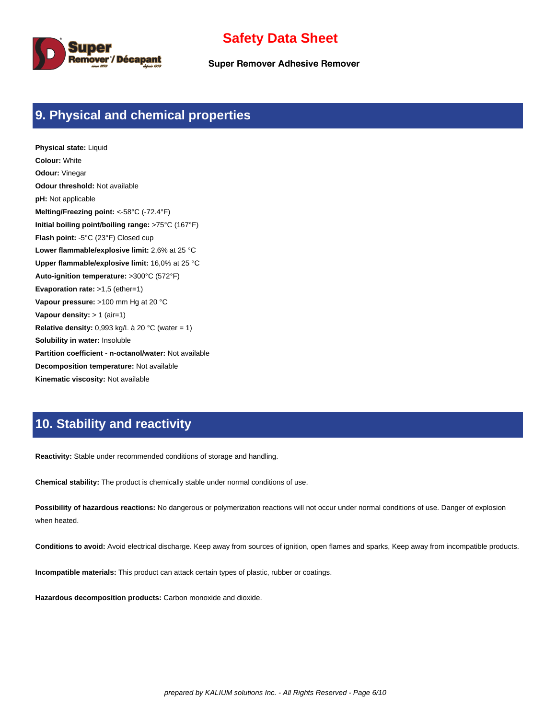

**Super Remover Adhesive Remover**

## **9. Physical and chemical properties**

**Physical state:** Liquid **Colour:** White **Odour:** Vinegar **Odour threshold:** Not available **pH:** Not applicable **Melting/Freezing point:** <-58°C (-72.4°F) **Initial boiling point/boiling range:** >75°C (167°F) **Flash point:** -5°C (23°F) Closed cup **Lower flammable/explosive limit:** 2,6% at 25 °C **Upper flammable/explosive limit:** 16,0% at 25 °C **Auto-ignition temperature:** >300°C (572°F) **Evaporation rate:** >1,5 (ether=1) **Vapour pressure:** >100 mm Hg at 20 °C **Vapour density:** > 1 (air=1) **Relative density:** 0,993 kg/L à 20 °C (water = 1) **Solubility in water:** Insoluble **Partition coefficient - n-octanol/water:** Not available **Decomposition temperature:** Not available **Kinematic viscosity:** Not available

## **10. Stability and reactivity**

**Reactivity:** Stable under recommended conditions of storage and handling.

**Chemical stability:** The product is chemically stable under normal conditions of use.

**Possibility of hazardous reactions:** No dangerous or polymerization reactions will not occur under normal conditions of use. Danger of explosion when heated.

**Conditions to avoid:** Avoid electrical discharge. Keep away from sources of ignition, open flames and sparks, Keep away from incompatible products.

**Incompatible materials:** This product can attack certain types of plastic, rubber or coatings.

**Hazardous decomposition products:** Carbon monoxide and dioxide.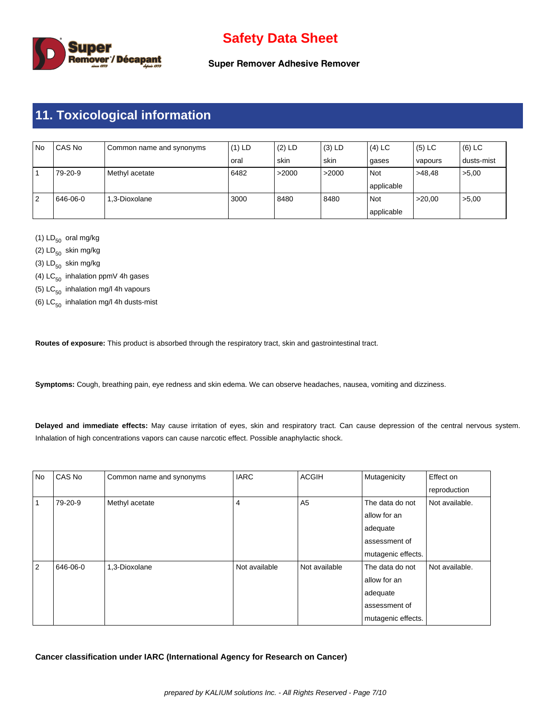

**Super Remover Adhesive Remover**

# **11. Toxicological information**

| No | CAS No   | Common name and synonyms | $(1)$ LD | $(2)$ LD | $(3)$ LD | $(4)$ LC   | $(5)$ LC | (6) LC     |
|----|----------|--------------------------|----------|----------|----------|------------|----------|------------|
|    |          |                          | oral     | skin     | skin     | gases      | vapours  | dusts-mist |
|    | 79-20-9  | Methyl acetate           | 6482     | >2000    | >2000    | Not        | >48.48   | >5,00      |
|    |          |                          |          |          |          | applicable |          |            |
| 2  | 646-06-0 | 1.3-Dioxolane            | 3000     | 8480     | 8480     | Not        | >20.00   | >5,00      |
|    |          |                          |          |          |          | applicable |          |            |

(1)  $LD_{50}$  oral mg/kg

(2)  $LD_{50}$  skin mg/kg

(3)  $LD_{50}$  skin mg/kg

(4)  $LC_{50}$  inhalation ppmV 4h gases

(5)  $LC_{50}$  inhalation mg/l 4h vapours

(6)  $LC_{50}$  inhalation mg/l 4h dusts-mist

**Routes of exposure:** This product is absorbed through the respiratory tract, skin and gastrointestinal tract.

**Symptoms:** Cough, breathing pain, eye redness and skin edema. We can observe headaches, nausea, vomiting and dizziness.

**Delayed and immediate effects:** May cause irritation of eyes, skin and respiratory tract. Can cause depression of the central nervous system. Inhalation of high concentrations vapors can cause narcotic effect. Possible anaphylactic shock.

| No | CAS No   | Common name and synonyms | <b>IARC</b>   | <b>ACGIH</b>   | Mutagenicity       | Effect on      |
|----|----------|--------------------------|---------------|----------------|--------------------|----------------|
|    |          |                          |               |                |                    | reproduction   |
|    | 79-20-9  | Methyl acetate           | 4             | A <sub>5</sub> | The data do not    | Not available. |
|    |          |                          |               |                | allow for an       |                |
|    |          |                          |               |                | adequate           |                |
|    |          |                          |               |                | assessment of      |                |
|    |          |                          |               |                | mutagenic effects. |                |
| 2  | 646-06-0 | 1,3-Dioxolane            | Not available | Not available  | The data do not    | Not available. |
|    |          |                          |               |                | allow for an       |                |
|    |          |                          |               |                | adequate           |                |
|    |          |                          |               |                | assessment of      |                |
|    |          |                          |               |                | mutagenic effects. |                |

**Cancer classification under IARC (International Agency for Research on Cancer)**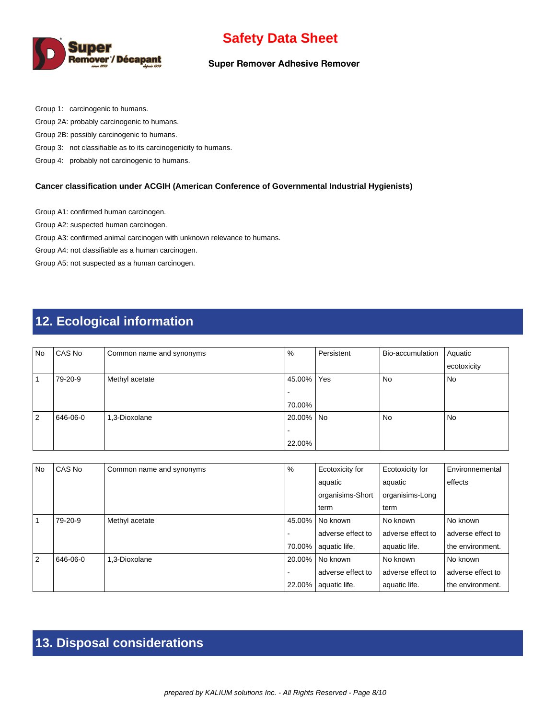

#### **Super Remover Adhesive Remover**

Group 1: carcinogenic to humans.

Group 2A: probably carcinogenic to humans.

Group 2B: possibly carcinogenic to humans.

Group 3: not classifiable as to its carcinogenicity to humans.

Group 4: probably not carcinogenic to humans.

#### **Cancer classification under ACGIH (American Conference of Governmental Industrial Hygienists)**

Group A1: confirmed human carcinogen.

Group A2: suspected human carcinogen.

Group A3: confirmed animal carcinogen with unknown relevance to humans.

Group A4: not classifiable as a human carcinogen.

Group A5: not suspected as a human carcinogen.

# **12. Ecological information**

| <b>No</b>      | CAS No   | Common name and synonyms | $\%$      | Persistent | Bio-accumulation | Aquatic     |
|----------------|----------|--------------------------|-----------|------------|------------------|-------------|
|                |          |                          |           |            |                  | ecotoxicity |
|                | 79-20-9  | Methyl acetate           | 45.00%    | Yes        | No               | No          |
|                |          |                          |           |            |                  |             |
|                |          |                          | 70.00%    |            |                  |             |
| $\overline{2}$ | 646-06-0 | 1,3-Dioxolane            | 20.00% No |            | No               | No          |
|                |          |                          |           |            |                  |             |
|                |          |                          | 22.00%    |            |                  |             |

| <b>No</b>      | CAS No   | Common name and synonyms | $\%$   | Ecotoxicity for   | Ecotoxicity for   | Environnemental   |
|----------------|----------|--------------------------|--------|-------------------|-------------------|-------------------|
|                |          |                          |        | aquatic           | aquatic           | effects           |
|                |          |                          |        | organisims-Short  | organisims-Long   |                   |
|                |          |                          |        | term              | term              |                   |
|                | 79-20-9  | Methyl acetate           | 45.00% | l No known        | l No known        | No known          |
|                |          |                          |        | adverse effect to | adverse effect to | adverse effect to |
|                |          |                          | 70.00% | aquatic life.     | aquatic life.     | the environment.  |
| $\overline{2}$ | 646-06-0 | 1.3-Dioxolane            | 20.00% | l No known        | l No known        | No known          |
|                |          |                          |        | adverse effect to | adverse effect to | adverse effect to |
|                |          |                          | 22.00% | aquatic life.     | aquatic life.     | the environment.  |

# **13. Disposal considerations**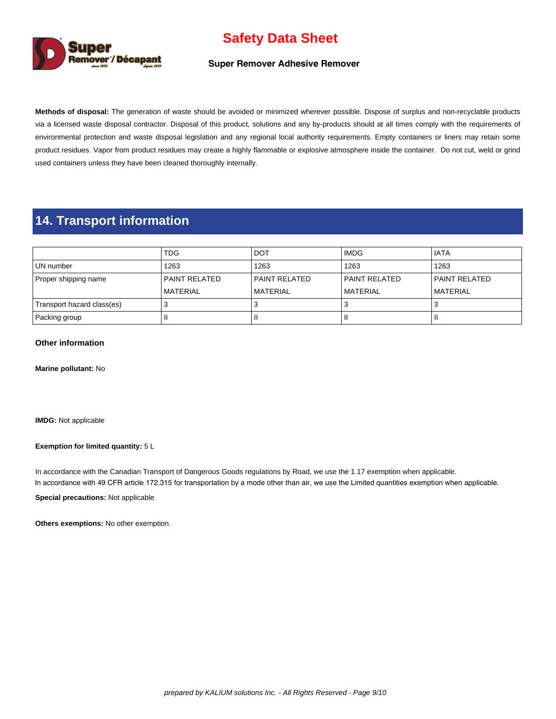

#### **Super Remover Adhesive Remover**

**Methods of disposal:** The generation of waste should be avoided or minimized wherever possible. Dispose of surplus and non-recyclable products via a licensed waste disposal contractor. Disposal of this product, solutions and any by-products should at all times comply with the requirements of environmental protection and waste disposal legislation and any regional local authority requirements. Empty containers or liners may retain some product residues. Vapor from product residues may create a highly flammable or explosive atmosphere inside the container. Do not cut, weld or grind used containers unless they have been cleaned thoroughly internally.

### **14. Transport information**

|                            | <b>TDG</b>           | <b>DOT</b>      | <b>IMDG</b>      | l IATA          |
|----------------------------|----------------------|-----------------|------------------|-----------------|
| UN number                  | 1263                 | 1263            | 1263             | 1263            |
| Proper shipping name       | <b>PAINT RELATED</b> | l PAINT RELATED | l PAINT RELATED  | l PAINT RELATED |
|                            | <b>MATERIAL</b>      | l MATERIAL      | <b>IMATERIAL</b> | l MATERIAL      |
| Transport hazard class(es) |                      |                 |                  |                 |
| Packing group              |                      |                 |                  |                 |

#### **Other information**

**Marine pollutant:** No

**IMDG:** Not applicable

#### **Exemption for limited quantity:** 5 L

In accordance with the Canadian Transport of Dangerous Goods regulations by Road, we use the 1.17 exemption when applicable. In accordance with 49 CFR article 172.315 for transportation by a mode other than air, we use the Limited quantities exemption when applicable.

**Special precautions:** Not applicable

**Others exemptions:** No other exemption.